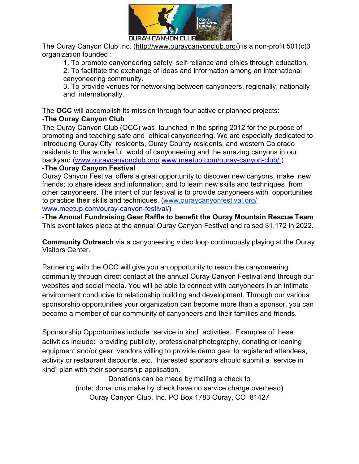

The Ouray Canyon Club Inc. (http://www.ouraycanyonclub.org/) is a non-profit 501(c)3 organization founded :

1. To promote canyoneering safety, self-reliance and ethics through education.

2. To facilitate the exchange of ideas and information among an international canyoneering community.

3. To provide venues for networking between canyoneers, regionally, nationally and internationally.

The **OCC** will accomplish its mission through four active or planned projects: -**The Ouray Canyon Club** 

The Ouray Canyon Club (OCC) was launched in the spring 2012 for the purpose of promoting and teaching safe and ethical canyoneering. We are especially dedicated to introducing Ouray City residents, Ouray County residents, and western Colorado residents to the wonderful world of canyoneering and the amazing canyons in our backyard.(www.ouraycanyonclub.org/ www.meetup.com/ouray-canyon-club/ )

## -**The Ouray Canyon Festival**

Ouray Canyon Festival offers a great opportunity to discover new canyons, make new friends; to share ideas and information; and to learn new skills and techniques from other canyoneers. The intent of our festival is to provide canyoneers with opportunities to practice their skills and techniques. (www.ouraycanyonfestival.org/ www.meetup.com/ouray-canyon-festival/)

-**The Annual Fundraising Gear Raffle to benefit the Ouray Mountain Rescue Team**  This event takes place at the annual Ouray Canyon Festival and raised \$1,172 in 2022.

**Community Outreach** via a canyoneering video loop continuously playing at the Ouray Visitors Center.

Partnering with the OCC will give you an opportunity to reach the canyoneering community through direct contact at the annual Ouray Canyon Festival and through our websites and social media. You will be able to connect with canyoneers in an intimate environment conducive to relationship building and development. Through our various sponsorship opportunities your organization can become more than a sponsor, you can become a member of our community of canyoneers and their families and friends.

Sponsorship Opportunities include "service in kind" activities. Examples of these activities include: providing publicity, professional photography, donating or loaning equipment and/or gear, vendors willing to provide demo gear to registered attendees, activity or restaurant discounts, etc. Interested sponsors should submit a "service in kind" plan with their sponsorship application.

> Donations can be made by mailing a check to (note: donations make by check have no service charge overhead) Ouray Canyon Club, Inc. PO Box 1783 Ouray, CO 81427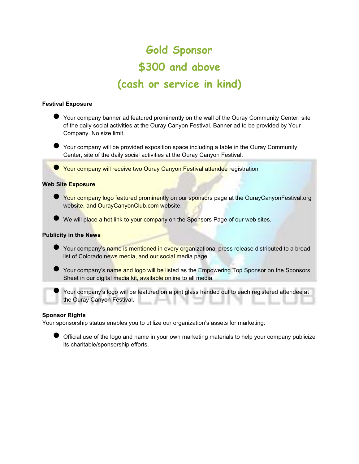# **Gold Sponsor \$300 and above (cash or service in kind)**

### **Festival Exposure**

- Your company banner ad featured prominently on the wall of the Ouray Community Center, site of the daily social activities at the Ouray Canyon Festival. Banner ad to be provided by Your Company. No size limit.
- Your company will be provided exposition space including a table in the Ouray Community Center, site of the daily social activities at the Ouray Canyon Festival.

● Your company will receive two Ouray Canyon Festival attendee registration

### **Web Site Exposure**

- Your company logo featured prominently on our sponsors page at the OurayCanyonFestival.org website, and OurayCanyonClub.com website.
- We will place a hot link to your company on the Sponsors Page of our web sites.

### **Publicity in the News**

- Your company's name is mentioned in every organizational press release distributed to a broad list of Colorado news media, and our social media page.
- Your company's name and logo will be listed as the Empowering Top Sponsor on the Sponsors Sheet in our digital media kit, available online to all media.
	- Your company's logo will be featured on a pint glass handed out to each registered attendee at the Ouray Canyon Festival.

### **Sponsor Rights**

Your sponsorship status enables you to utilize our organization's assets for marketing:

● Official use of the logo and name in your own marketing materials to help your company publicize its charitable/sponsorship efforts.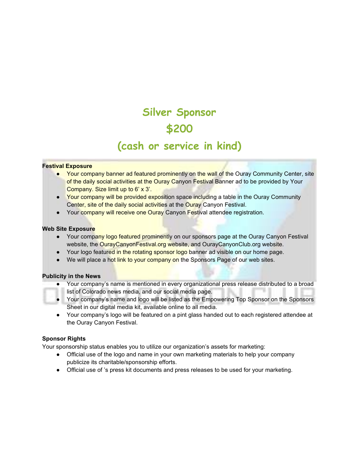# **Silver Sponsor \$200 (cash or service in kind)**

### **Festival Exposure**

- Your company banner ad featured prominently on the wall of the Ouray Community Center, site of the daily social activities at the Ouray Canyon Festival Banner ad to be provided by Your Company. Size limit up to 6' x 3'.
- Your company will be provided exposition space including a table in the Ouray Community Center, site of the daily social activities at the Ouray Canyon Festival.
- Your company will receive one Ouray Canyon Festival attendee registration.

### **Web Site Exposure**

- Your company logo featured prominently on our sponsors page at the Ouray Canyon Festival website, the OurayCanyonFestival.org website, and OurayCanyonClub.org website.
- Your logo featured in the rotating sponsor logo banner ad visible on our home page.
- We will place a hot link to your company on the Sponsors Page of our web sites.

#### **Publicity in the News**

- Your company's name is mentioned in every organizational press release distributed to a broad list of Colorado news media, and our social media page.
- Your company's name and logo will be listed as the Empowering Top Sponsor on the Sponsors Sheet in our digital media kit, available online to all media.
- Your company's logo will be featured on a pint glass handed out to each registered attendee at the Ouray Canyon Festival.

#### **Sponsor Rights**

Your sponsorship status enables you to utilize our organization's assets for marketing:

- Official use of the logo and name in your own marketing materials to help your company publicize its charitable/sponsorship efforts.
- Official use of 's press kit documents and press releases to be used for your marketing.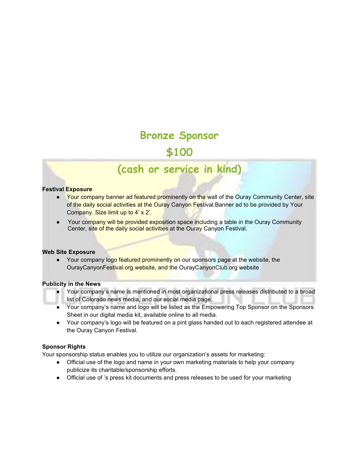# **Bronze Sponsor \$100**

# **(cash or service in kind)**

#### **Festival Exposure**

- Your company banner ad featured prominently on the wall of the Ouray Community Center, site of the daily social activities at the Ouray Canyon Festival.Banner ad to be provided by Your Company. Size limit up to 4' x 2'.
- Your company will be provided exposition space including a table in the Ouray Community Center, site of the daily social activities at the Ouray Canyon Festival.

#### **Web Site Exposure**

• Your company logo featured prominently on our sponsors page at the website, the OurayCanyonFestival.org website, and the OurayCanyonClub.org website

#### **Publicity in the News**

- Your company's name is mentioned in most organizational press releases distributed to a broad list of Colorado news media, and our social media page.
- Your company's name and logo will be listed as the Empowering Top Sponsor on the Sponsors Sheet in our digital media kit, available online to all media.
- Your company's logo will be featured on a pint glass handed out to each registered attendee at the Ouray Canyon Festival.

#### **Sponsor Rights**

Your sponsorship status enables you to utilize our organization's assets for marketing:

- Official use of the logo and name in your own marketing materials to help your company publicize its charitable/sponsorship efforts.
- Official use of 's press kit documents and press releases to be used for your marketing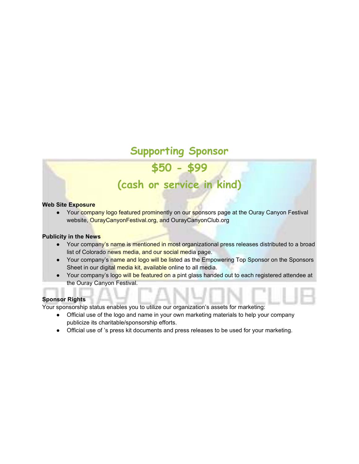# **Supporting Sponsor**

# **\$50 - \$99**

# **(cash or service in kind)**

### **Web Site Exposure**

● Your company logo featured prominently on our sponsors page at the Ouray Canyon Festival website, OurayCanyonFestival.org, and OurayCanyonClub.org

#### **Publicity in the News**

- Your company's name is mentioned in most organizational press releases distributed to a broad list of Colorado news media, and our social media page.
- Your company's name and logo will be listed as the Empowering Top Sponsor on the Sponsors Sheet in our digital media kit, available online to all media.
- Your company's logo will be featured on a pint glass handed out to each registered attendee at the Ouray Canyon Festival.

## **Sponsor Rights**

Your sponsorship status enables you to utilize our organization's assets for marketing:

- Official use of the logo and name in your own marketing materials to help your company publicize its charitable/sponsorship efforts.
- Official use of 's press kit documents and press releases to be used for your marketing.